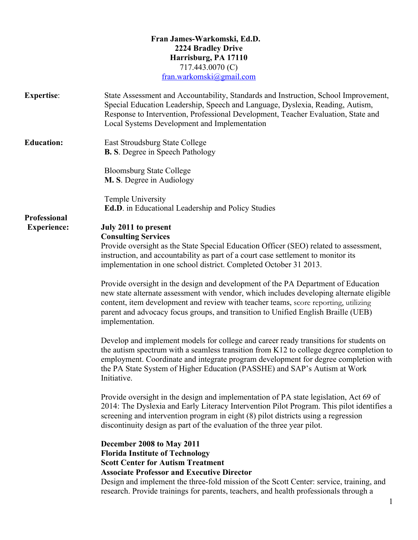|                     | Fran James-Warkomski, Ed.D.<br><b>2224 Bradley Drive</b><br>Harrisburg, PA 17110<br>717.443.0070 (C)<br>fran.warkomski@gmail.com                                                                                                                                                                                                                                             |
|---------------------|------------------------------------------------------------------------------------------------------------------------------------------------------------------------------------------------------------------------------------------------------------------------------------------------------------------------------------------------------------------------------|
| <b>Expertise:</b>   | State Assessment and Accountability, Standards and Instruction, School Improvement,<br>Special Education Leadership, Speech and Language, Dyslexia, Reading, Autism,<br>Response to Intervention, Professional Development, Teacher Evaluation, State and<br>Local Systems Development and Implementation                                                                    |
| <b>Education:</b>   | East Stroudsburg State College<br><b>B. S.</b> Degree in Speech Pathology                                                                                                                                                                                                                                                                                                    |
|                     | <b>Bloomsburg State College</b><br>M. S. Degree in Audiology                                                                                                                                                                                                                                                                                                                 |
| <b>Professional</b> | Temple University<br><b>Ed.D.</b> in Educational Leadership and Policy Studies                                                                                                                                                                                                                                                                                               |
| <b>Experience:</b>  | July 2011 to present<br><b>Consulting Services</b><br>Provide oversight as the State Special Education Officer (SEO) related to assessment,<br>instruction, and accountability as part of a court case settlement to monitor its<br>implementation in one school district. Completed October 31 2013.                                                                        |
|                     | Provide oversight in the design and development of the PA Department of Education<br>new state alternate assessment with vendor, which includes developing alternate eligible<br>content, item development and review with teacher teams, score reporting, utilizing<br>parent and advocacy focus groups, and transition to Unified English Braille (UEB)<br>implementation. |
|                     | Develop and implement models for college and career ready transitions for students on<br>the autism spectrum with a seamless transition from K12 to college degree completion to<br>employment. Coordinate and integrate program development for degree completion with<br>the PA State System of Higher Education (PASSHE) and SAP's Autism at Work<br>Initiative.          |
|                     | Provide oversight in the design and implementation of PA state legislation, Act 69 of<br>2014: The Dyslexia and Early Literacy Intervention Pilot Program. This pilot identifies a<br>screening and intervention program in eight (8) pilot districts using a regression<br>discontinuity design as part of the evaluation of the three year pilot.                          |
|                     | December 2008 to May 2011<br><b>Florida Institute of Technology</b><br><b>Scott Center for Autism Treatment</b><br><b>Associate Professor and Executive Director</b><br>Design and implement the three-fold mission of the Scott Center: service, training, and<br>research. Provide trainings for parents, teachers, and health professionals through a                     |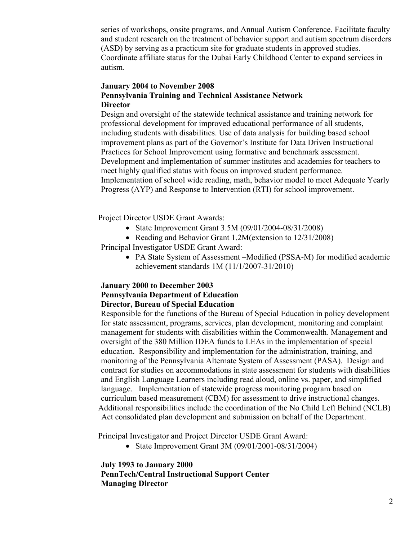series of workshops, onsite programs, and Annual Autism Conference. Facilitate faculty and student research on the treatment of behavior support and autism spectrum disorders (ASD) by serving as a practicum site for graduate students in approved studies. Coordinate affiliate status for the Dubai Early Childhood Center to expand services in autism.

## **January 2004 to November 2008 Pennsylvania Training and Technical Assistance Network Director**

Design and oversight of the statewide technical assistance and training network for professional development for improved educational performance of all students, including students with disabilities. Use of data analysis for building based school improvement plans as part of the Governor's Institute for Data Driven Instructional Practices for School Improvement using formative and benchmark assessment. Development and implementation of summer institutes and academies for teachers to meet highly qualified status with focus on improved student performance. Implementation of school wide reading, math, behavior model to meet Adequate Yearly Progress (AYP) and Response to Intervention (RTI) for school improvement.

Project Director USDE Grant Awards:

- State Improvement Grant 3.5M (09/01/2004-08/31/2008)
- Reading and Behavior Grant 1.2M(extension to 12/31/2008)

Principal Investigator USDE Grant Award:

• PA State System of Assessment –Modified (PSSA-M) for modified academic achievement standards 1M (11/1/2007-31/2010)

## **January 2000 to December 2003 Pennsylvania Department of Education Director, Bureau of Special Education**

Responsible for the functions of the Bureau of Special Education in policy development for state assessment, programs, services, plan development, monitoring and complaint management for students with disabilities within the Commonwealth. Management and oversight of the 380 Million IDEA funds to LEAs in the implementation of special education. Responsibility and implementation for the administration, training, and monitoring of the Pennsylvania Alternate System of Assessment (PASA). Design and contract for studies on accommodations in state assessment for students with disabilities and English Language Learners including read aloud, online vs. paper, and simplified language. Implementation of statewide progress monitoring program based on curriculum based measurement (CBM) for assessment to drive instructional changes. Additional responsibilities include the coordination of the No Child Left Behind (NCLB) Act consolidated plan development and submission on behalf of the Department.

Principal Investigator and Project Director USDE Grant Award:

• State Improvement Grant 3M (09/01/2001-08/31/2004)

**July 1993 to January 2000 PennTech/Central Instructional Support Center Managing Director**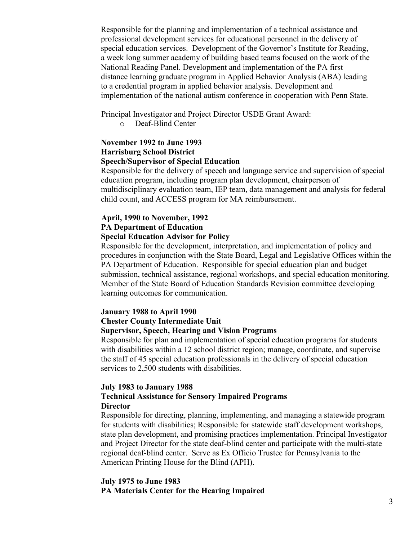Responsible for the planning and implementation of a technical assistance and professional development services for educational personnel in the delivery of special education services. Development of the Governor's Institute for Reading, a week long summer academy of building based teams focused on the work of the National Reading Panel. Development and implementation of the PA first distance learning graduate program in Applied Behavior Analysis (ABA) leading to a credential program in applied behavior analysis. Development and implementation of the national autism conference in cooperation with Penn State.

Principal Investigator and Project Director USDE Grant Award:

o Deaf-Blind Center

### **November 1992 to June 1993 Harrisburg School District Speech/Supervisor of Special Education**

Responsible for the delivery of speech and language service and supervision of special education program, including program plan development, chairperson of multidisciplinary evaluation team, IEP team, data management and analysis for federal child count, and ACCESS program for MA reimbursement.

### **April, 1990 to November, 1992 PA Department of Education Special Education Advisor for Policy**

Responsible for the development, interpretation, and implementation of policy and procedures in conjunction with the State Board, Legal and Legislative Offices within the PA Department of Education. Responsible for special education plan and budget submission, technical assistance, regional workshops, and special education monitoring. Member of the State Board of Education Standards Revision committee developing learning outcomes for communication.

#### **January 1988 to April 1990**

#### **Chester County Intermediate Unit**

#### **Supervisor, Speech, Hearing and Vision Programs**

Responsible for plan and implementation of special education programs for students with disabilities within a 12 school district region; manage, coordinate, and supervise the staff of 45 special education professionals in the delivery of special education services to 2,500 students with disabilities.

#### **July 1983 to January 1988**

### **Technical Assistance for Sensory Impaired Programs Director**

Responsible for directing, planning, implementing, and managing a statewide program for students with disabilities; Responsible for statewide staff development workshops, state plan development, and promising practices implementation. Principal Investigator and Project Director for the state deaf-blind center and participate with the multi-state regional deaf-blind center. Serve as Ex Officio Trustee for Pennsylvania to the American Printing House for the Blind (APH).

### **July 1975 to June 1983 PA Materials Center for the Hearing Impaired**